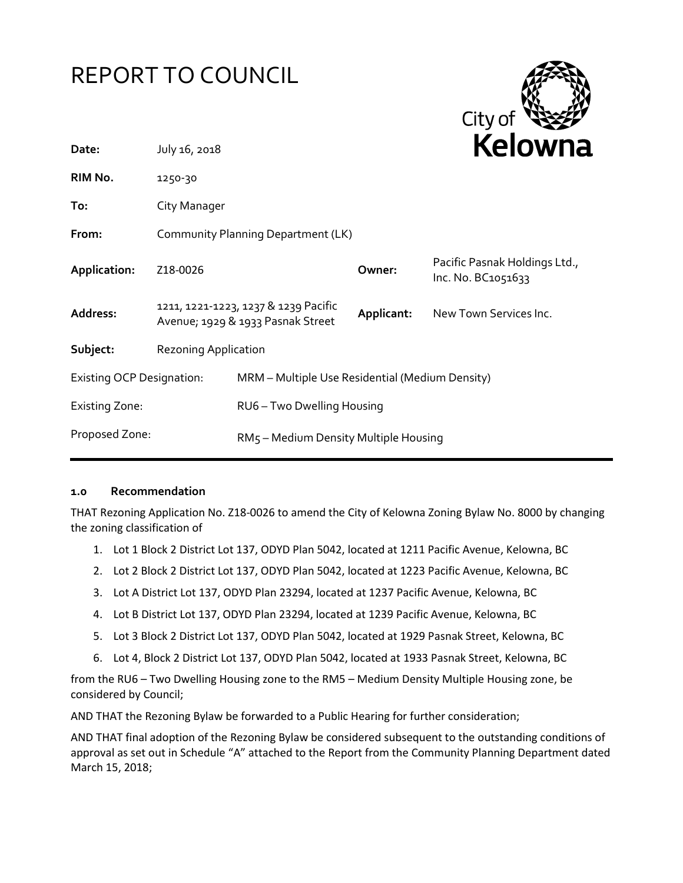# REPORT TO COUNCIL



| Date:                            | July 16, 2018                                                             |                                                 |            | <b>NEIUWHE</b>                                      |
|----------------------------------|---------------------------------------------------------------------------|-------------------------------------------------|------------|-----------------------------------------------------|
| RIM No.                          | 1250-30                                                                   |                                                 |            |                                                     |
| To:                              | City Manager                                                              |                                                 |            |                                                     |
| From:                            | Community Planning Department (LK)                                        |                                                 |            |                                                     |
| Application:                     | Z18-0026                                                                  |                                                 | Owner:     | Pacific Pasnak Holdings Ltd.,<br>Inc. No. BC1051633 |
| Address:                         | 1211, 1221-1223, 1237 & 1239 Pacific<br>Avenue; 1929 & 1933 Pasnak Street |                                                 | Applicant: | New Town Services Inc.                              |
| Subject:                         | <b>Rezoning Application</b>                                               |                                                 |            |                                                     |
| <b>Existing OCP Designation:</b> |                                                                           | MRM - Multiple Use Residential (Medium Density) |            |                                                     |
| <b>Existing Zone:</b>            |                                                                           | RU6 - Two Dwelling Housing                      |            |                                                     |
| Proposed Zone:                   |                                                                           | RM5 - Medium Density Multiple Housing           |            |                                                     |
|                                  |                                                                           |                                                 |            |                                                     |

#### **1.0 Recommendation**

THAT Rezoning Application No. Z18-0026 to amend the City of Kelowna Zoning Bylaw No. 8000 by changing the zoning classification of

- 1. Lot 1 Block 2 District Lot 137, ODYD Plan 5042, located at 1211 Pacific Avenue, Kelowna, BC
- 2. Lot 2 Block 2 District Lot 137, ODYD Plan 5042, located at 1223 Pacific Avenue, Kelowna, BC
- 3. Lot A District Lot 137, ODYD Plan 23294, located at 1237 Pacific Avenue, Kelowna, BC
- 4. Lot B District Lot 137, ODYD Plan 23294, located at 1239 Pacific Avenue, Kelowna, BC
- 5. Lot 3 Block 2 District Lot 137, ODYD Plan 5042, located at 1929 Pasnak Street, Kelowna, BC
- 6. Lot 4, Block 2 District Lot 137, ODYD Plan 5042, located at 1933 Pasnak Street, Kelowna, BC

from the RU6 – Two Dwelling Housing zone to the RM5 – Medium Density Multiple Housing zone, be considered by Council;

AND THAT the Rezoning Bylaw be forwarded to a Public Hearing for further consideration;

AND THAT final adoption of the Rezoning Bylaw be considered subsequent to the outstanding conditions of approval as set out in Schedule "A" attached to the Report from the Community Planning Department dated March 15, 2018;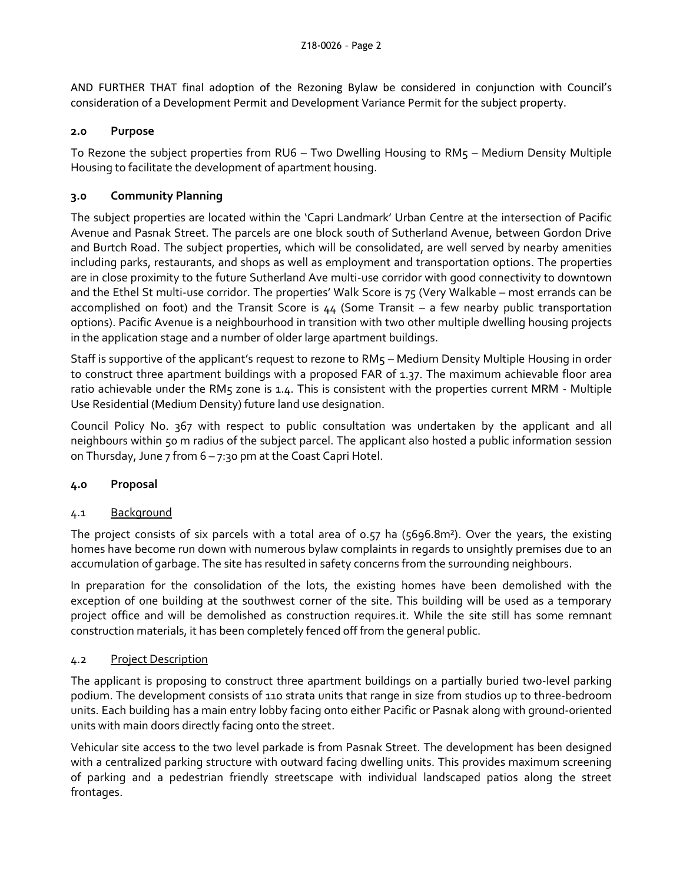AND FURTHER THAT final adoption of the Rezoning Bylaw be considered in conjunction with Council's consideration of a Development Permit and Development Variance Permit for the subject property.

### **2.0 Purpose**

To Rezone the subject properties from RU6 – Two Dwelling Housing to RM5 – Medium Density Multiple Housing to facilitate the development of apartment housing.

## **3.0 Community Planning**

The subject properties are located within the 'Capri Landmark' Urban Centre at the intersection of Pacific Avenue and Pasnak Street. The parcels are one block south of Sutherland Avenue, between Gordon Drive and Burtch Road. The subject properties, which will be consolidated, are well served by nearby amenities including parks, restaurants, and shops as well as employment and transportation options. The properties are in close proximity to the future Sutherland Ave multi-use corridor with good connectivity to downtown and the Ethel St multi-use corridor. The properties' Walk Score is 75 (Very Walkable – most errands can be accomplished on foot) and the Transit Score is 44 (Some Transit – a few nearby public transportation options). Pacific Avenue is a neighbourhood in transition with two other multiple dwelling housing projects in the application stage and a number of older large apartment buildings.

Staff is supportive of the applicant's request to rezone to RM5 – Medium Density Multiple Housing in order to construct three apartment buildings with a proposed FAR of 1.37. The maximum achievable floor area ratio achievable under the RM5 zone is 1.4. This is consistent with the properties current MRM - Multiple Use Residential (Medium Density) future land use designation.

Council Policy No. 367 with respect to public consultation was undertaken by the applicant and all neighbours within 50 m radius of the subject parcel. The applicant also hosted a public information session on Thursday, June 7 from  $6 - 7:30$  pm at the Coast Capri Hotel.

#### **4.0 Proposal**

#### 4.1 Background

The project consists of six parcels with a total area of 0.57 ha (5696.8m²). Over the years, the existing homes have become run down with numerous bylaw complaints in regards to unsightly premises due to an accumulation of garbage. The site has resulted in safety concerns from the surrounding neighbours.

In preparation for the consolidation of the lots, the existing homes have been demolished with the exception of one building at the southwest corner of the site. This building will be used as a temporary project office and will be demolished as construction requires.it. While the site still has some remnant construction materials, it has been completely fenced off from the general public.

#### 4.2 Project Description

The applicant is proposing to construct three apartment buildings on a partially buried two-level parking podium. The development consists of 110 strata units that range in size from studios up to three-bedroom units. Each building has a main entry lobby facing onto either Pacific or Pasnak along with ground-oriented units with main doors directly facing onto the street.

Vehicular site access to the two level parkade is from Pasnak Street. The development has been designed with a centralized parking structure with outward facing dwelling units. This provides maximum screening of parking and a pedestrian friendly streetscape with individual landscaped patios along the street frontages.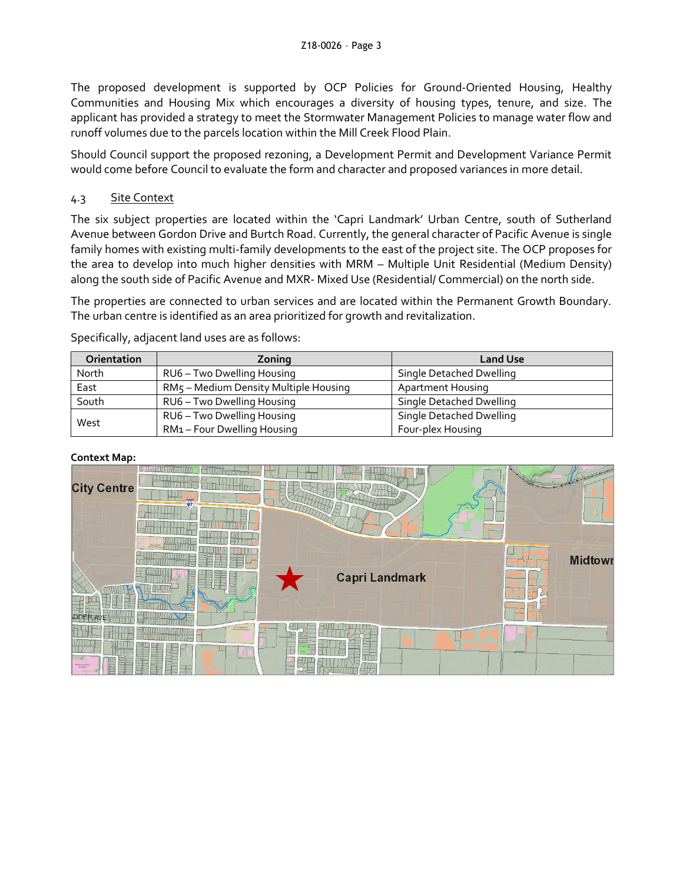The proposed development is supported by OCP Policies for Ground-Oriented Housing, Healthy Communities and Housing Mix which encourages a diversity of housing types, tenure, and size. The applicant has provided a strategy to meet the Stormwater Management Policies to manage water flow and runoff volumes due to the parcels location within the Mill Creek Flood Plain.

Should Council support the proposed rezoning, a Development Permit and Development Variance Permit would come before Council to evaluate the form and character and proposed variances in more detail.

## 4.3 Site Context

The six subject properties are located within the 'Capri Landmark' Urban Centre, south of Sutherland Avenue between Gordon Drive and Burtch Road. Currently, the general character of Pacific Avenue is single family homes with existing multi-family developments to the east of the project site. The OCP proposes for the area to develop into much higher densities with MRM – Multiple Unit Residential (Medium Density) along the south side of Pacific Avenue and MXR- Mixed Use (Residential/ Commercial) on the north side.

The properties are connected to urban services and are located within the Permanent Growth Boundary. The urban centre is identified as an area prioritized for growth and revitalization.

| <b>Orientation</b> | Zoning                                | <b>Land Use</b>          |  |
|--------------------|---------------------------------------|--------------------------|--|
| North              | RU6 - Two Dwelling Housing            | Single Detached Dwelling |  |
| East               | RM5 - Medium Density Multiple Housing | <b>Apartment Housing</b> |  |
| South              | RU6 - Two Dwelling Housing            | Single Detached Dwelling |  |
| West               | RU6 - Two Dwelling Housing            | Single Detached Dwelling |  |
|                    | RM1-Four Dwelling Housing             | Four-plex Housing        |  |

Specifically, adjacent land uses are as follows:

#### **Context Map:**

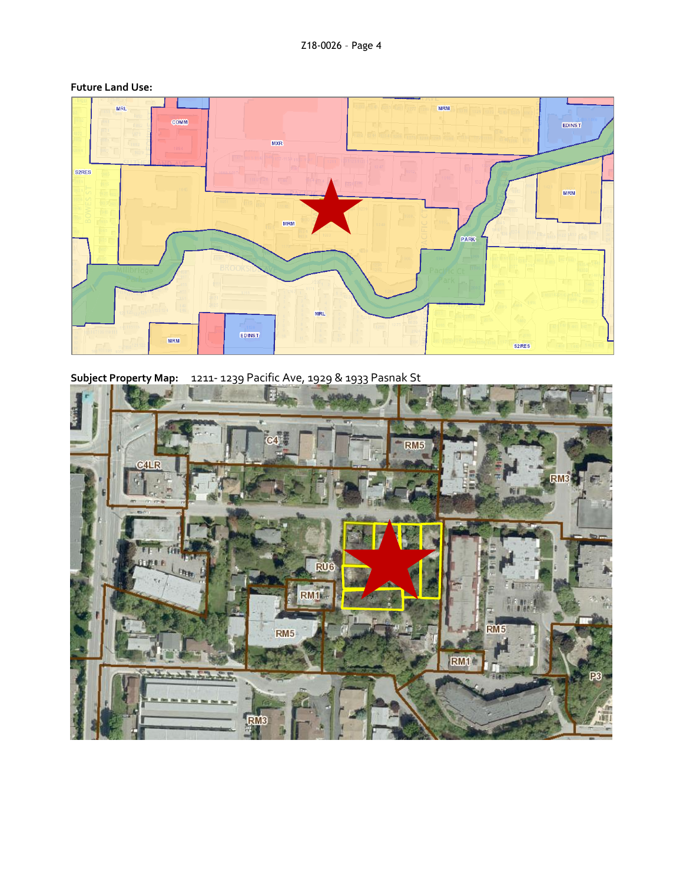

#### **Future Land Use:**

Subject Property Map: 1211-1239 Pacific Ave, 1929 & 1933 Pasnak St

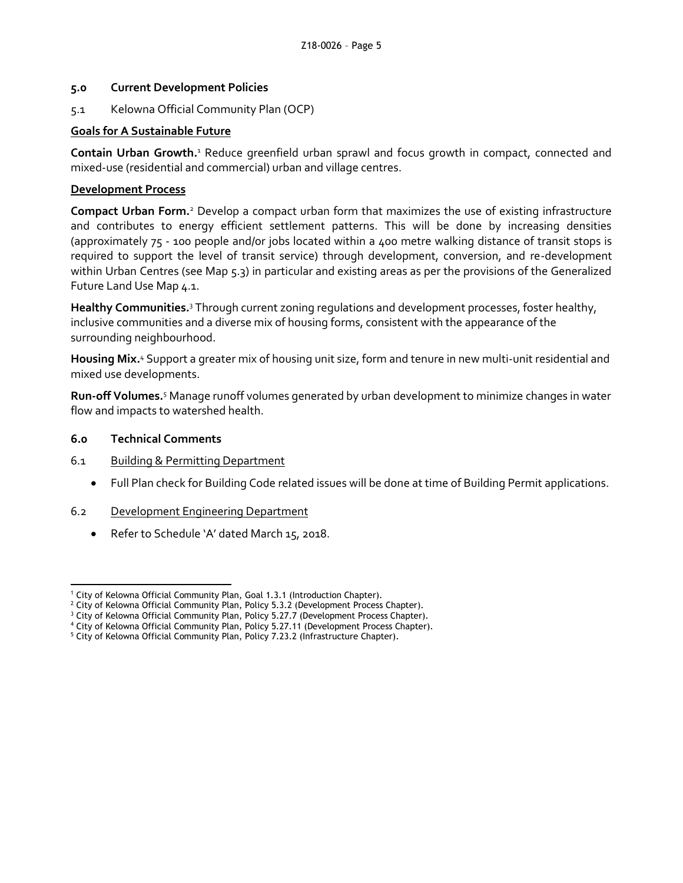#### **5.0 Current Development Policies**

5.1 Kelowna Official Community Plan (OCP)

## **Goals for A Sustainable Future**

Contain Urban Growth.<sup>1</sup> Reduce greenfield urban sprawl and focus growth in compact, connected and mixed-use (residential and commercial) urban and village centres.

## **Development Process**

**Compact Urban Form.**<sup>2</sup> Develop a compact urban form that maximizes the use of existing infrastructure and contributes to energy efficient settlement patterns. This will be done by increasing densities (approximately 75 - 100 people and/or jobs located within a 400 metre walking distance of transit stops is required to support the level of transit service) through development, conversion, and re-development within Urban Centres (see Map 5.3) in particular and existing areas as per the provisions of the Generalized Future Land Use Map 4.1.

**Healthy Communities.** <sup>3</sup> Through current zoning regulations and development processes, foster healthy, inclusive communities and a diverse mix of housing forms, consistent with the appearance of the surrounding neighbourhood.

Housing Mix.<sup>4</sup> Support a greater mix of housing unit size, form and tenure in new multi-unit residential and mixed use developments.

**Run-off Volumes.** <sup>5</sup> Manage runoff volumes generated by urban development to minimize changes in water flow and impacts to watershed health.

## **6.0 Technical Comments**

1

- 6.1 Building & Permitting Department
	- Full Plan check for Building Code related issues will be done at time of Building Permit applications.
- 6.2 Development Engineering Department
	- Refer to Schedule 'A' dated March 15, 2018.

<sup>&</sup>lt;sup>1</sup> City of Kelowna Official Community Plan, Goal 1.3.1 (Introduction Chapter).

 $2$  City of Kelowna Official Community Plan, Policy 5.3.2 (Development Process Chapter).

<sup>&</sup>lt;sup>3</sup> City of Kelowna Official Community Plan, Policy 5.27.7 (Development Process Chapter).

<sup>4</sup> City of Kelowna Official Community Plan, Policy 5.27.11 (Development Process Chapter).

<sup>&</sup>lt;sup>5</sup> City of Kelowna Official Community Plan, Policy 7.23.2 (Infrastructure Chapter).